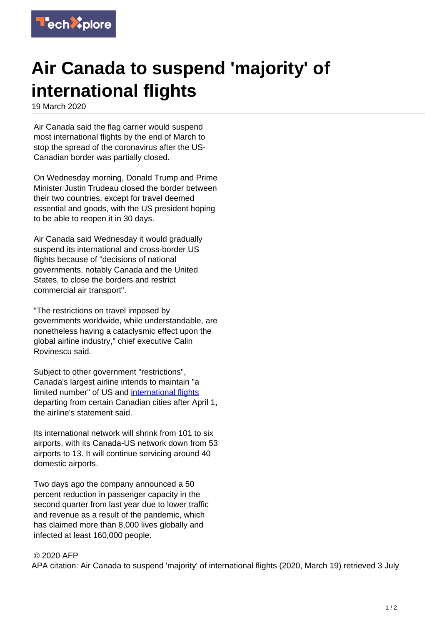

## **Air Canada to suspend 'majority' of international flights**

19 March 2020

Air Canada said the flag carrier would suspend most international flights by the end of March to stop the spread of the coronavirus after the US-Canadian border was partially closed.

On Wednesday morning, Donald Trump and Prime Minister Justin Trudeau closed the border between their two countries, except for travel deemed essential and goods, with the US president hoping to be able to reopen it in 30 days.

Air Canada said Wednesday it would gradually suspend its international and cross-border US flights because of "decisions of national governments, notably Canada and the United States, to close the borders and restrict commercial air transport".

"The restrictions on travel imposed by governments worldwide, while understandable, are nonetheless having a cataclysmic effect upon the global airline industry," chief executive Calin Rovinescu said.

Subject to other government "restrictions", Canada's largest airline intends to maintain "a limited number" of US and [international flights](https://techxplore.com/tags/international+flights/) departing from certain Canadian cities after April 1, the airline's statement said.

Its international network will shrink from 101 to six airports, with its Canada-US network down from 53 airports to 13. It will continue servicing around 40 domestic airports.

Two days ago the company announced a 50 percent reduction in passenger capacity in the second quarter from last year due to lower traffic and revenue as a result of the pandemic, which has claimed more than 8,000 lives globally and infected at least 160,000 people.

## © 2020 AFP

APA citation: Air Canada to suspend 'majority' of international flights (2020, March 19) retrieved 3 July